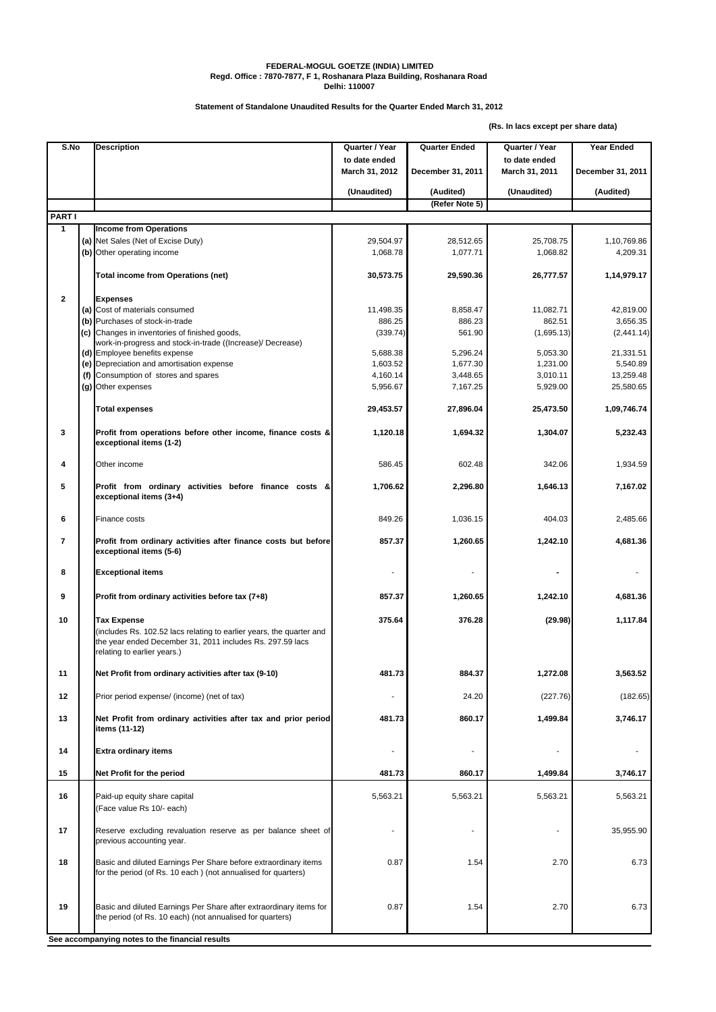## **FEDERAL-MOGUL GOETZE (INDIA) LIMITED Regd. Office : 7870-7877, F 1, Roshanara Plaza Building, Roshanara Road Delhi: 110007**

**Statement of Standalone Unaudited Results for the Quarter Ended March 31, 2012**

**(Rs. In lacs except per share data)**

| S.No                    |  | <b>Description</b>                                                                                                                                                              | Quarter / Year                  | <b>Quarter Ended</b>        | Quarter / Year                  | <b>Year Ended</b> |
|-------------------------|--|---------------------------------------------------------------------------------------------------------------------------------------------------------------------------------|---------------------------------|-----------------------------|---------------------------------|-------------------|
|                         |  |                                                                                                                                                                                 | to date ended<br>March 31, 2012 | December 31, 2011           | to date ended<br>March 31, 2011 | December 31, 2011 |
|                         |  |                                                                                                                                                                                 |                                 |                             |                                 |                   |
|                         |  |                                                                                                                                                                                 | (Unaudited)                     | (Audited)<br>(Refer Note 5) | (Unaudited)                     | (Audited)         |
| <b>PARTI</b>            |  |                                                                                                                                                                                 |                                 |                             |                                 |                   |
| 1                       |  | <b>Income from Operations</b>                                                                                                                                                   |                                 |                             |                                 |                   |
|                         |  | (a) Net Sales (Net of Excise Duty)                                                                                                                                              | 29,504.97                       | 28,512.65                   | 25,708.75                       | 1,10,769.86       |
|                         |  | (b) Other operating income                                                                                                                                                      | 1,068.78                        | 1,077.71                    | 1,068.82                        | 4,209.31          |
|                         |  | Total income from Operations (net)                                                                                                                                              | 30,573.75                       | 29,590.36                   | 26,777.57                       | 1,14,979.17       |
| $\mathbf{2}$            |  | <b>Expenses</b>                                                                                                                                                                 |                                 |                             |                                 |                   |
|                         |  | (a) Cost of materials consumed                                                                                                                                                  | 11,498.35                       | 8,858.47                    | 11,082.71                       | 42,819.00         |
|                         |  | (b) Purchases of stock-in-trade                                                                                                                                                 | 886.25                          | 886.23                      | 862.51                          | 3,656.35          |
|                         |  | (c) Changes in inventories of finished goods,                                                                                                                                   | (339.74)                        | 561.90                      | (1,695.13)                      | (2, 441.14)       |
|                         |  | work-in-progress and stock-in-trade ((Increase)/ Decrease)<br>(d) Employee benefits expense                                                                                     | 5,688.38                        | 5,296.24                    | 5,053.30                        | 21,331.51         |
|                         |  | (e) Depreciation and amortisation expense                                                                                                                                       | 1,603.52                        | 1,677.30                    | 1,231.00                        | 5,540.89          |
|                         |  | (f) Consumption of stores and spares                                                                                                                                            | 4,160.14                        | 3,448.65                    | 3,010.11                        | 13,259.48         |
|                         |  | (g) Other expenses                                                                                                                                                              | 5,956.67                        | 7,167.25                    | 5,929.00                        | 25,580.65         |
|                         |  |                                                                                                                                                                                 |                                 |                             |                                 |                   |
|                         |  | <b>Total expenses</b>                                                                                                                                                           | 29,453.57                       | 27,896.04                   | 25,473.50                       | 1,09,746.74       |
| 3                       |  | Profit from operations before other income, finance costs &<br>exceptional items (1-2)                                                                                          | 1,120.18                        | 1,694.32                    | 1,304.07                        | 5,232.43          |
| 4                       |  | Other income                                                                                                                                                                    | 586.45                          | 602.48                      | 342.06                          | 1,934.59          |
| 5                       |  | Profit from ordinary activities before finance costs &<br>exceptional items (3+4)                                                                                               | 1,706.62                        | 2,296.80                    | 1,646.13                        | 7,167.02          |
| 6                       |  | Finance costs                                                                                                                                                                   | 849.26                          | 1,036.15                    | 404.03                          | 2,485.66          |
| $\overline{\mathbf{r}}$ |  | Profit from ordinary activities after finance costs but before<br>exceptional items (5-6)                                                                                       | 857.37                          | 1,260.65                    | 1,242.10                        | 4,681.36          |
| 8                       |  | <b>Exceptional items</b>                                                                                                                                                        |                                 |                             |                                 |                   |
| 9                       |  | Profit from ordinary activities before tax (7+8)                                                                                                                                | 857.37                          | 1,260.65                    | 1,242.10                        | 4,681.36          |
| 10                      |  | Tax Expense<br>(includes Rs. 102.52 lacs relating to earlier years, the quarter and<br>the year ended December 31, 2011 includes Rs. 297.59 lacs<br>relating to earlier years.) | 375.64                          | 376.28                      | (29.98)                         | 1,117.84          |
| 11                      |  | Net Profit from ordinary activities after tax (9-10)                                                                                                                            | 481.73                          | 884.37                      | 1,272.08                        | 3,563.52          |
| 12                      |  | Prior period expense/ (income) (net of tax)                                                                                                                                     |                                 | 24.20                       | (227.76)                        | (182.65)          |
| 13                      |  | Net Profit from ordinary activities after tax and prior period<br>items (11-12)                                                                                                 | 481.73                          | 860.17                      | 1,499.84                        | 3,746.17          |
| 14                      |  | Extra ordinary items                                                                                                                                                            |                                 |                             |                                 |                   |
| 15                      |  | Net Profit for the period                                                                                                                                                       | 481.73                          | 860.17                      | 1,499.84                        | 3,746.17          |
| 16                      |  | Paid-up equity share capital<br>(Face value Rs 10/- each)                                                                                                                       | 5,563.21                        | 5,563.21                    | 5,563.21                        | 5,563.21          |
| 17                      |  | Reserve excluding revaluation reserve as per balance sheet of<br>previous accounting year.                                                                                      |                                 |                             |                                 | 35,955.90         |
| 18                      |  | Basic and diluted Earnings Per Share before extraordinary items<br>for the period (of Rs. 10 each) (not annualised for quarters)                                                | 0.87                            | 1.54                        | 2.70                            | 6.73              |
| 19                      |  | Basic and diluted Earnings Per Share after extraordinary items for<br>the period (of Rs. 10 each) (not annualised for quarters)                                                 | 0.87                            | 1.54                        | 2.70                            | 6.73              |
|                         |  | See accompanying notes to the financial results                                                                                                                                 |                                 |                             |                                 |                   |